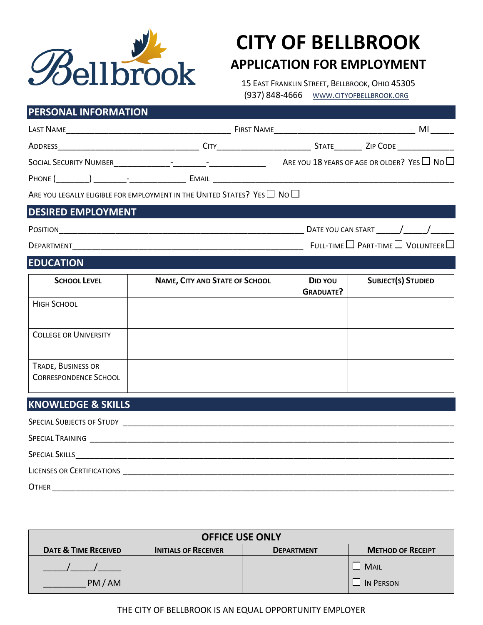

# **CITY OF BELLBROOK APPLICATION FOR EMPLOYMENT**

15 EAST FRANKLIN STREET, BELLBROOK, OHIO 45305 (937) 848-4666 WWW.CITYOFBELLBROOK.ORG

## **PERSONAL INFORMATION**

|                                                    | SOCIAL SECURITY NUMBER<br>$\Box$ No $\Box$                                               |                             |                           |  |  |
|----------------------------------------------------|------------------------------------------------------------------------------------------|-----------------------------|---------------------------|--|--|
|                                                    |                                                                                          |                             |                           |  |  |
|                                                    | ARE YOU LEGALLY ELIGIBLE FOR EMPLOYMENT IN THE UNITED STATES? YES $\Box$ No $\Box$       |                             |                           |  |  |
| <b>DESIRED EMPLOYMENT</b>                          |                                                                                          |                             |                           |  |  |
|                                                    |                                                                                          |                             |                           |  |  |
|                                                    | $\mathsf{Deparrmenr}\_\_\_\_\_\_\_\_$ Full-time $\Box$ Part-time $\Box$ Volunteer $\Box$ |                             |                           |  |  |
| <b>EDUCATION</b>                                   |                                                                                          |                             |                           |  |  |
| <b>SCHOOL LEVEL</b>                                | <b>NAME, CITY AND STATE OF SCHOOL</b>                                                    | DID YOU<br><b>GRADUATE?</b> | <b>SUBJECT(S) STUDIED</b> |  |  |
| <b>HIGH SCHOOL</b>                                 |                                                                                          |                             |                           |  |  |
| <b>COLLEGE OR UNIVERSITY</b>                       |                                                                                          |                             |                           |  |  |
| TRADE, BUSINESS OR<br><b>CORRESPONDENCE SCHOOL</b> |                                                                                          |                             |                           |  |  |
| <b>KNOWLEDGE &amp; SKILLS</b>                      |                                                                                          |                             |                           |  |  |
|                                                    |                                                                                          |                             |                           |  |  |
|                                                    |                                                                                          |                             |                           |  |  |
|                                                    |                                                                                          |                             |                           |  |  |
|                                                    |                                                                                          |                             |                           |  |  |
| <b>OTHER</b>                                       |                                                                                          |                             |                           |  |  |

| <b>OFFICE USE ONLY</b>          |                             |                   |                          |  |
|---------------------------------|-----------------------------|-------------------|--------------------------|--|
| <b>DATE &amp; TIME RECEIVED</b> | <b>INITIALS OF RECEIVER</b> | <b>DEPARTMENT</b> | <b>METHOD OF RECEIPT</b> |  |
| PM/AM                           |                             |                   | <b>MAIL</b><br>IN PERSON |  |

## THE CITY OF BELLBROOK IS AN EQUAL OPPORTUNITY EMPLOYER